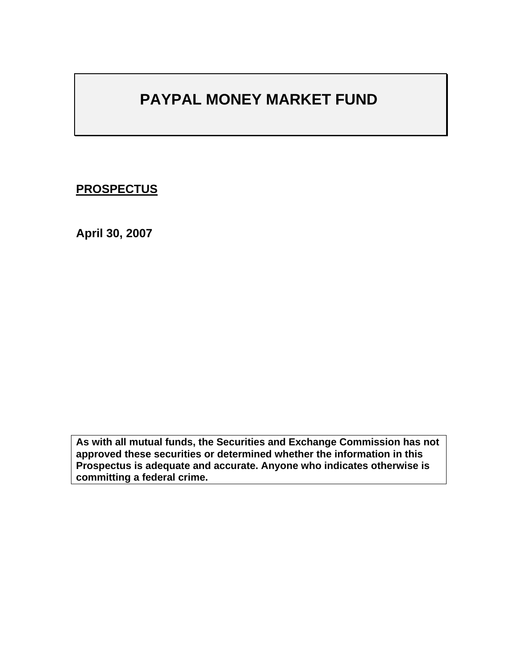# **PAYPAL MONEY MARKET FUND**

# **PROSPECTUS**

**April 30, 2007** 

**As with all mutual funds, the Securities and Exchange Commission has not approved these securities or determined whether the information in this Prospectus is adequate and accurate. Anyone who indicates otherwise is committing a federal crime.**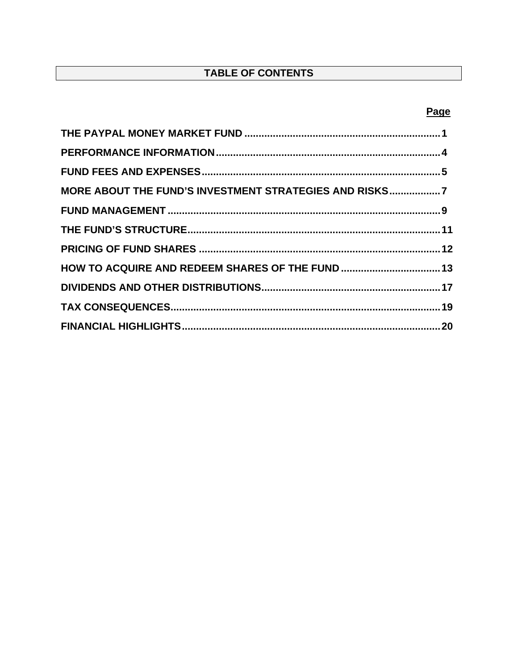# TABLE OF CONTENTS

## Page

| MORE ABOUT THE FUND'S INVESTMENT STRATEGIES AND RISKS7 |  |
|--------------------------------------------------------|--|
|                                                        |  |
|                                                        |  |
|                                                        |  |
| HOW TO ACQUIRE AND REDEEM SHARES OF THE FUND  13       |  |
|                                                        |  |
|                                                        |  |
|                                                        |  |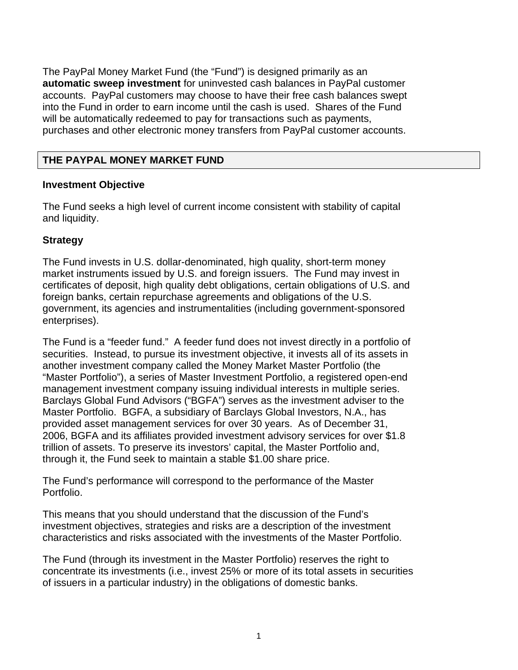The PayPal Money Market Fund (the "Fund") is designed primarily as an **automatic sweep investment** for uninvested cash balances in PayPal customer accounts. PayPal customers may choose to have their free cash balances swept into the Fund in order to earn income until the cash is used. Shares of the Fund will be automatically redeemed to pay for transactions such as payments, purchases and other electronic money transfers from PayPal customer accounts.

## **THE PAYPAL MONEY MARKET FUND**

#### **Investment Objective**

The Fund seeks a high level of current income consistent with stability of capital and liquidity.

## **Strategy**

The Fund invests in U.S. dollar-denominated, high quality, short-term money market instruments issued by U.S. and foreign issuers. The Fund may invest in certificates of deposit, high quality debt obligations, certain obligations of U.S. and foreign banks, certain repurchase agreements and obligations of the U.S. government, its agencies and instrumentalities (including government-sponsored enterprises).

The Fund is a "feeder fund." A feeder fund does not invest directly in a portfolio of securities. Instead, to pursue its investment objective, it invests all of its assets in another investment company called the Money Market Master Portfolio (the "Master Portfolio"), a series of Master Investment Portfolio, a registered open-end management investment company issuing individual interests in multiple series. Barclays Global Fund Advisors ("BGFA") serves as the investment adviser to the Master Portfolio. BGFA, a subsidiary of Barclays Global Investors, N.A., has provided asset management services for over 30 years. As of December 31, 2006, BGFA and its affiliates provided investment advisory services for over \$1.8 trillion of assets. To preserve its investors' capital, the Master Portfolio and, through it, the Fund seek to maintain a stable \$1.00 share price.

The Fund's performance will correspond to the performance of the Master Portfolio.

This means that you should understand that the discussion of the Fund's investment objectives, strategies and risks are a description of the investment characteristics and risks associated with the investments of the Master Portfolio.

The Fund (through its investment in the Master Portfolio) reserves the right to concentrate its investments (i.e., invest 25% or more of its total assets in securities of issuers in a particular industry) in the obligations of domestic banks.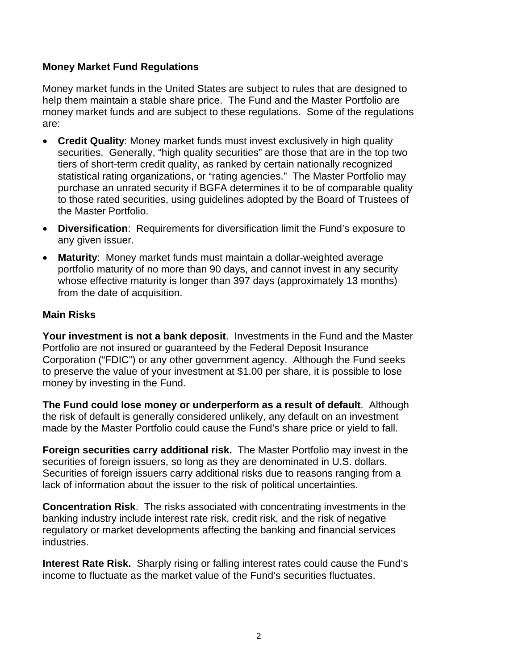#### **Money Market Fund Regulations**

Money market funds in the United States are subject to rules that are designed to help them maintain a stable share price. The Fund and the Master Portfolio are money market funds and are subject to these regulations. Some of the regulations are:

- **Credit Quality**: Money market funds must invest exclusively in high quality securities. Generally, "high quality securities" are those that are in the top two tiers of short-term credit quality, as ranked by certain nationally recognized statistical rating organizations, or "rating agencies." The Master Portfolio may purchase an unrated security if BGFA determines it to be of comparable quality to those rated securities, using guidelines adopted by the Board of Trustees of the Master Portfolio.
- **Diversification**: Requirements for diversification limit the Fund's exposure to any given issuer.
- **Maturity**: Money market funds must maintain a dollar-weighted average portfolio maturity of no more than 90 days, and cannot invest in any security whose effective maturity is longer than 397 days (approximately 13 months) from the date of acquisition.

#### **Main Risks**

**Your investment is not a bank deposit**. Investments in the Fund and the Master Portfolio are not insured or guaranteed by the Federal Deposit Insurance Corporation ("FDIC") or any other government agency. Although the Fund seeks to preserve the value of your investment at \$1.00 per share, it is possible to lose money by investing in the Fund.

**The Fund could lose money or underperform as a result of default**. Although the risk of default is generally considered unlikely, any default on an investment made by the Master Portfolio could cause the Fund's share price or yield to fall.

**Foreign securities carry additional risk.** The Master Portfolio may invest in the securities of foreign issuers, so long as they are denominated in U.S. dollars. Securities of foreign issuers carry additional risks due to reasons ranging from a lack of information about the issuer to the risk of political uncertainties.

**Concentration Risk**. The risks associated with concentrating investments in the banking industry include interest rate risk, credit risk, and the risk of negative regulatory or market developments affecting the banking and financial services industries.

**Interest Rate Risk.** Sharply rising or falling interest rates could cause the Fund's income to fluctuate as the market value of the Fund's securities fluctuates.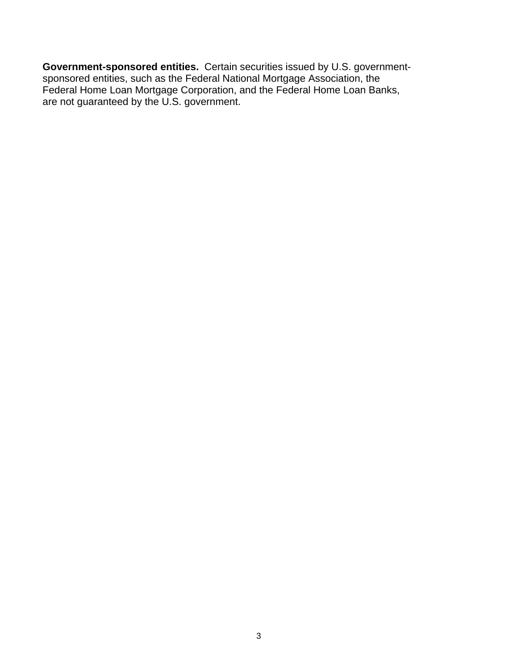**Government-sponsored entities.** Certain securities issued by U.S. governmentsponsored entities, such as the Federal National Mortgage Association, the Federal Home Loan Mortgage Corporation, and the Federal Home Loan Banks, are not guaranteed by the U.S. government.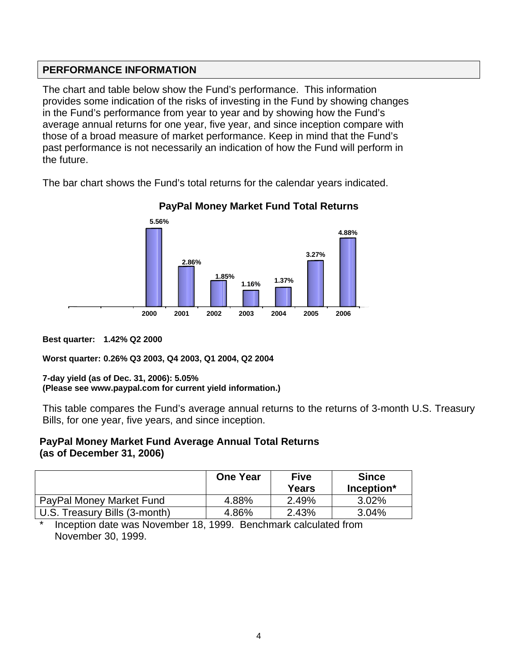## **PERFORMANCE INFORMATION**

The chart and table below show the Fund's performance. This information provides some indication of the risks of investing in the Fund by showing changes in the Fund's performance from year to year and by showing how the Fund's average annual returns for one year, five year, and since inception compare with those of a broad measure of market performance. Keep in mind that the Fund's past performance is not necessarily an indication of how the Fund will perform in the future.

The bar chart shows the Fund's total returns for the calendar years indicated.



**PayPal Money Market Fund Total Returns** 

**Best quarter: 1.42% Q2 2000** 

**Worst quarter: 0.26% Q3 2003, Q4 2003, Q1 2004, Q2 2004** 

#### **7-day yield (as of Dec. 31, 2006): 5.05% (Please see www.paypal.com for current yield information.)**

This table compares the Fund's average annual returns to the returns of 3-month U.S. Treasury Bills, for one year, five years, and since inception.

#### **PayPal Money Market Fund Average Annual Total Returns (as of December 31, 2006)**

|                               | <b>One Year</b> | <b>Five</b><br>Years | <b>Since</b><br>Inception* |
|-------------------------------|-----------------|----------------------|----------------------------|
| PayPal Money Market Fund      | 4.88%           | 2.49%                | $3.02\%$                   |
| U.S. Treasury Bills (3-month) | 4.86%           | 2.43%                | $3.04\%$                   |

Inception date was November 18, 1999. Benchmark calculated from November 30, 1999.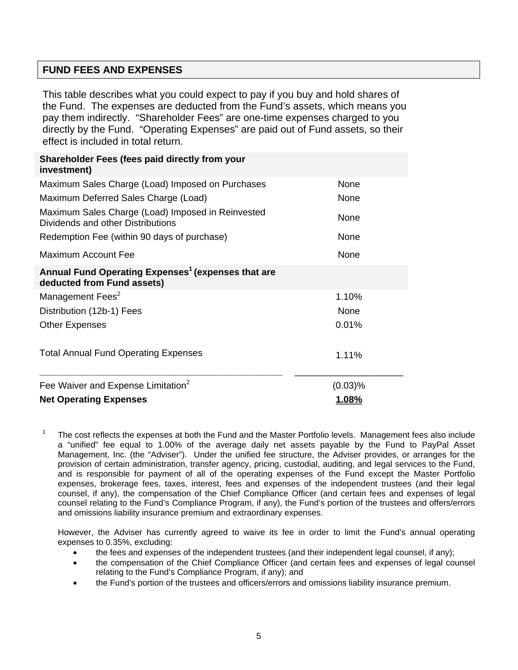## **FUND FEES AND EXPENSES**

This table describes what you could expect to pay if you buy and hold shares of the Fund. The expenses are deducted from the Fund's assets, which means you pay them indirectly. "Shareholder Fees" are one-time expenses charged to you directly by the Fund. "Operating Expenses" are paid out of Fund assets, so their effect is included in total return.

| Shareholder Fees (fees paid directly from your<br>investment)                                |             |
|----------------------------------------------------------------------------------------------|-------------|
| Maximum Sales Charge (Load) Imposed on Purchases                                             | None        |
| Maximum Deferred Sales Charge (Load)                                                         | None        |
| Maximum Sales Charge (Load) Imposed in Reinvested<br>Dividends and other Distributions       | None        |
| Redemption Fee (within 90 days of purchase)                                                  | <b>None</b> |
| Maximum Account Fee                                                                          | None        |
| Annual Fund Operating Expenses <sup>1</sup> (expenses that are<br>deducted from Fund assets) |             |
| Management Fees <sup>2</sup>                                                                 | 1.10%       |
| Distribution (12b-1) Fees                                                                    | None        |
| <b>Other Expenses</b>                                                                        | 0.01%       |
| <b>Total Annual Fund Operating Expenses</b>                                                  | 1.11%       |
| Fee Waiver and Expense Limitation <sup>2</sup>                                               | $(0.03)$ %  |
| <b>Net Operating Expenses</b>                                                                | 1.08%       |

1 The cost reflects the expenses at both the Fund and the Master Portfolio levels. Management fees also include a "unified" fee equal to 1.00% of the average daily net assets payable by the Fund to PayPal Asset Management, Inc. (the "Adviser"). Under the unified fee structure, the Adviser provides, or arranges for the provision of certain administration, transfer agency, pricing, custodial, auditing, and legal services to the Fund, and is responsible for payment of all of the operating expenses of the Fund except the Master Portfolio expenses, brokerage fees, taxes, interest, fees and expenses of the independent trustees (and their legal counsel, if any), the compensation of the Chief Compliance Officer (and certain fees and expenses of legal counsel relating to the Fund's Compliance Program, if any), the Fund's portion of the trustees and offers/errors and omissions liability insurance premium and extraordinary expenses.

 However, the Adviser has currently agreed to waive its fee in order to limit the Fund's annual operating expenses to 0.35%, excluding:

- the fees and expenses of the independent trustees (and their independent legal counsel, if any);
- the compensation of the Chief Compliance Officer (and certain fees and expenses of legal counsel relating to the Fund's Compliance Program, if any); and
- the Fund's portion of the trustees and officers/errors and omissions liability insurance premium.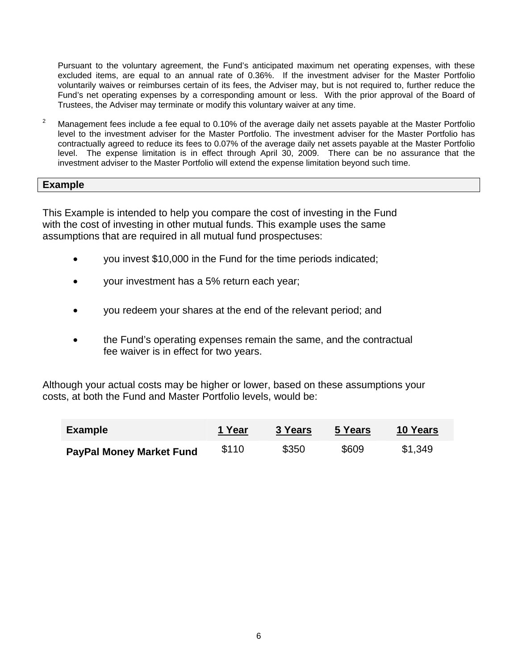Pursuant to the voluntary agreement, the Fund's anticipated maximum net operating expenses, with these excluded items, are equal to an annual rate of 0.36%. If the investment adviser for the Master Portfolio voluntarily waives or reimburses certain of its fees, the Adviser may, but is not required to, further reduce the Fund's net operating expenses by a corresponding amount or less. With the prior approval of the Board of Trustees, the Adviser may terminate or modify this voluntary waiver at any time.

2 Management fees include a fee equal to 0.10% of the average daily net assets payable at the Master Portfolio level to the investment adviser for the Master Portfolio. The investment adviser for the Master Portfolio has contractually agreed to reduce its fees to 0.07% of the average daily net assets payable at the Master Portfolio level. The expense limitation is in effect through April 30, 2009. There can be no assurance that the investment adviser to the Master Portfolio will extend the expense limitation beyond such time.

#### **Example**

This Example is intended to help you compare the cost of investing in the Fund with the cost of investing in other mutual funds. This example uses the same assumptions that are required in all mutual fund prospectuses:

- you invest \$10,000 in the Fund for the time periods indicated;
- your investment has a 5% return each year;
- you redeem your shares at the end of the relevant period; and
- the Fund's operating expenses remain the same, and the contractual fee waiver is in effect for two years.

Although your actual costs may be higher or lower, based on these assumptions your costs, at both the Fund and Master Portfolio levels, would be:

| <b>Example</b>                  | 1 Year | 3 Years | 5 Years | <b>10 Years</b> |
|---------------------------------|--------|---------|---------|-----------------|
| <b>PayPal Money Market Fund</b> | \$110  | \$350   | \$609   | \$1,349         |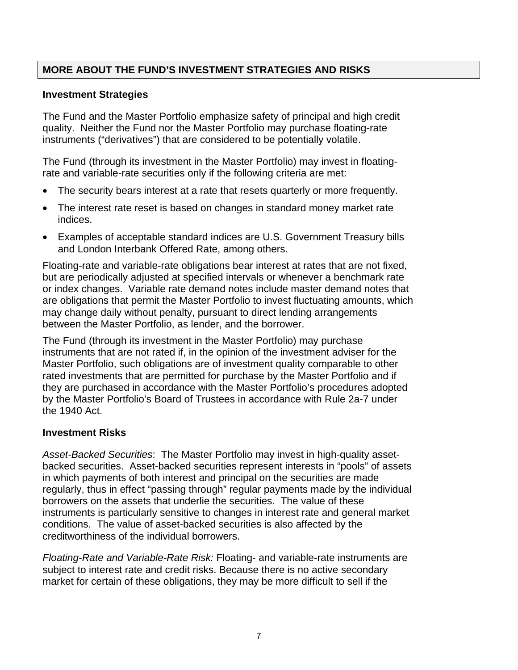## **MORE ABOUT THE FUND'S INVESTMENT STRATEGIES AND RISKS**

#### **Investment Strategies**

The Fund and the Master Portfolio emphasize safety of principal and high credit quality. Neither the Fund nor the Master Portfolio may purchase floating-rate instruments ("derivatives") that are considered to be potentially volatile.

The Fund (through its investment in the Master Portfolio) may invest in floatingrate and variable-rate securities only if the following criteria are met:

- The security bears interest at a rate that resets quarterly or more frequently.
- The interest rate reset is based on changes in standard money market rate indices.
- Examples of acceptable standard indices are U.S. Government Treasury bills and London Interbank Offered Rate, among others.

Floating-rate and variable-rate obligations bear interest at rates that are not fixed, but are periodically adjusted at specified intervals or whenever a benchmark rate or index changes. Variable rate demand notes include master demand notes that are obligations that permit the Master Portfolio to invest fluctuating amounts, which may change daily without penalty, pursuant to direct lending arrangements between the Master Portfolio, as lender, and the borrower.

The Fund (through its investment in the Master Portfolio) may purchase instruments that are not rated if, in the opinion of the investment adviser for the Master Portfolio, such obligations are of investment quality comparable to other rated investments that are permitted for purchase by the Master Portfolio and if they are purchased in accordance with the Master Portfolio's procedures adopted by the Master Portfolio's Board of Trustees in accordance with Rule 2a-7 under the 1940 Act.

#### **Investment Risks**

*Asset-Backed Securities*: The Master Portfolio may invest in high-quality assetbacked securities. Asset-backed securities represent interests in "pools" of assets in which payments of both interest and principal on the securities are made regularly, thus in effect "passing through" regular payments made by the individual borrowers on the assets that underlie the securities. The value of these instruments is particularly sensitive to changes in interest rate and general market conditions. The value of asset-backed securities is also affected by the creditworthiness of the individual borrowers.

*Floating-Rate and Variable-Rate Risk:* Floating- and variable-rate instruments are subject to interest rate and credit risks. Because there is no active secondary market for certain of these obligations, they may be more difficult to sell if the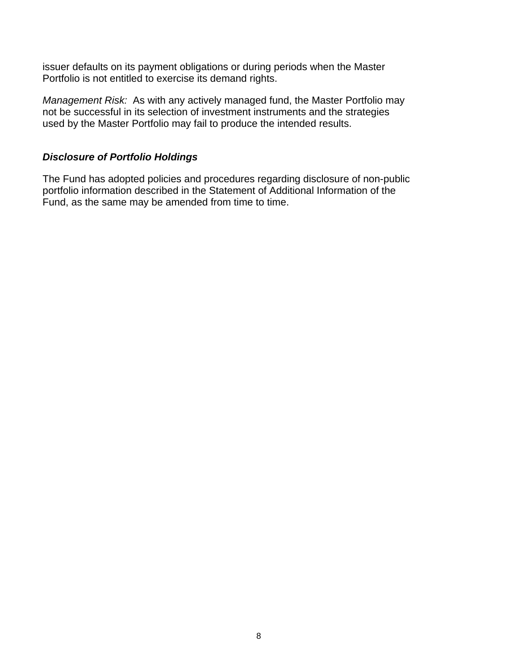issuer defaults on its payment obligations or during periods when the Master Portfolio is not entitled to exercise its demand rights.

*Management Risk:* As with any actively managed fund, the Master Portfolio may not be successful in its selection of investment instruments and the strategies used by the Master Portfolio may fail to produce the intended results.

#### *Disclosure of Portfolio Holdings*

The Fund has adopted policies and procedures regarding disclosure of non-public portfolio information described in the Statement of Additional Information of the Fund, as the same may be amended from time to time.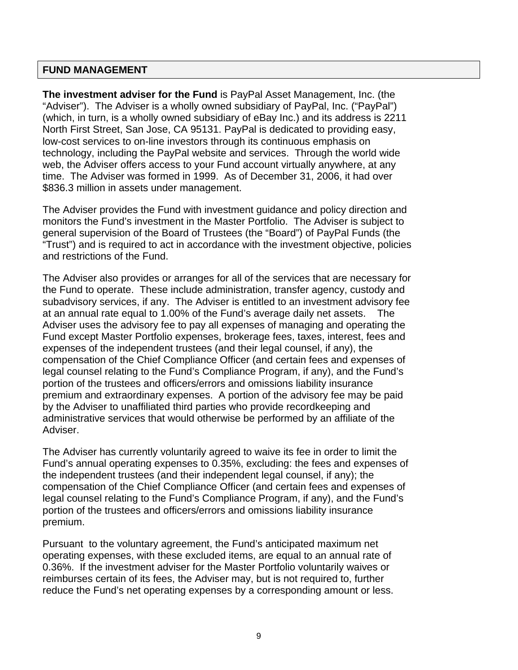#### **FUND MANAGEMENT**

**The investment adviser for the Fund** is PayPal Asset Management, Inc. (the "Adviser"). The Adviser is a wholly owned subsidiary of PayPal, Inc. ("PayPal") (which, in turn, is a wholly owned subsidiary of eBay Inc.) and its address is 2211 North First Street, San Jose, CA 95131. PayPal is dedicated to providing easy, low-cost services to on-line investors through its continuous emphasis on technology, including the PayPal website and services. Through the world wide web, the Adviser offers access to your Fund account virtually anywhere, at any time. The Adviser was formed in 1999. As of December 31, 2006, it had over \$836.3 million in assets under management.

The Adviser provides the Fund with investment guidance and policy direction and monitors the Fund's investment in the Master Portfolio. The Adviser is subject to general supervision of the Board of Trustees (the "Board") of PayPal Funds (the "Trust") and is required to act in accordance with the investment objective, policies and restrictions of the Fund.

The Adviser also provides or arranges for all of the services that are necessary for the Fund to operate. These include administration, transfer agency, custody and subadvisory services, if any. The Adviser is entitled to an investment advisory fee at an annual rate equal to 1.00% of the Fund's average daily net assets. The Adviser uses the advisory fee to pay all expenses of managing and operating the Fund except Master Portfolio expenses, brokerage fees, taxes, interest, fees and expenses of the independent trustees (and their legal counsel, if any), the compensation of the Chief Compliance Officer (and certain fees and expenses of legal counsel relating to the Fund's Compliance Program, if any), and the Fund's portion of the trustees and officers/errors and omissions liability insurance premium and extraordinary expenses. A portion of the advisory fee may be paid by the Adviser to unaffiliated third parties who provide recordkeeping and administrative services that would otherwise be performed by an affiliate of the Adviser.

The Adviser has currently voluntarily agreed to waive its fee in order to limit the Fund's annual operating expenses to 0.35%, excluding: the fees and expenses of the independent trustees (and their independent legal counsel, if any); the compensation of the Chief Compliance Officer (and certain fees and expenses of legal counsel relating to the Fund's Compliance Program, if any), and the Fund's portion of the trustees and officers/errors and omissions liability insurance premium.

Pursuant to the voluntary agreement, the Fund's anticipated maximum net operating expenses, with these excluded items, are equal to an annual rate of 0.36%. If the investment adviser for the Master Portfolio voluntarily waives or reimburses certain of its fees, the Adviser may, but is not required to, further reduce the Fund's net operating expenses by a corresponding amount or less.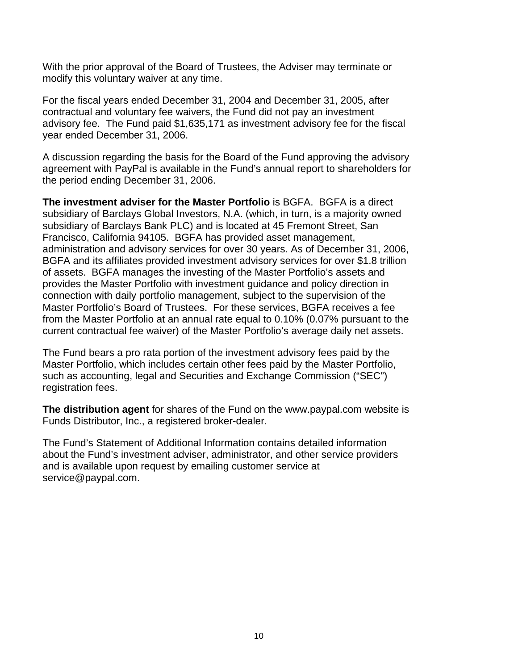With the prior approval of the Board of Trustees, the Adviser may terminate or modify this voluntary waiver at any time.

For the fiscal years ended December 31, 2004 and December 31, 2005, after contractual and voluntary fee waivers, the Fund did not pay an investment advisory fee. The Fund paid \$1,635,171 as investment advisory fee for the fiscal year ended December 31, 2006.

A discussion regarding the basis for the Board of the Fund approving the advisory agreement with PayPal is available in the Fund's annual report to shareholders for the period ending December 31, 2006.

**The investment adviser for the Master Portfolio** is BGFA. BGFA is a direct subsidiary of Barclays Global Investors, N.A. (which, in turn, is a majority owned subsidiary of Barclays Bank PLC) and is located at 45 Fremont Street, San Francisco, California 94105. BGFA has provided asset management, administration and advisory services for over 30 years. As of December 31, 2006, BGFA and its affiliates provided investment advisory services for over \$1.8 trillion of assets. BGFA manages the investing of the Master Portfolio's assets and provides the Master Portfolio with investment guidance and policy direction in connection with daily portfolio management, subject to the supervision of the Master Portfolio's Board of Trustees. For these services, BGFA receives a fee from the Master Portfolio at an annual rate equal to 0.10% (0.07% pursuant to the current contractual fee waiver) of the Master Portfolio's average daily net assets.

The Fund bears a pro rata portion of the investment advisory fees paid by the Master Portfolio, which includes certain other fees paid by the Master Portfolio, such as accounting, legal and Securities and Exchange Commission ("SEC") registration fees.

**The distribution agent** for shares of the Fund on the www.paypal.com website is Funds Distributor, Inc., a registered broker-dealer.

The Fund's Statement of Additional Information contains detailed information about the Fund's investment adviser, administrator, and other service providers and is available upon request by emailing customer service at service@paypal.com.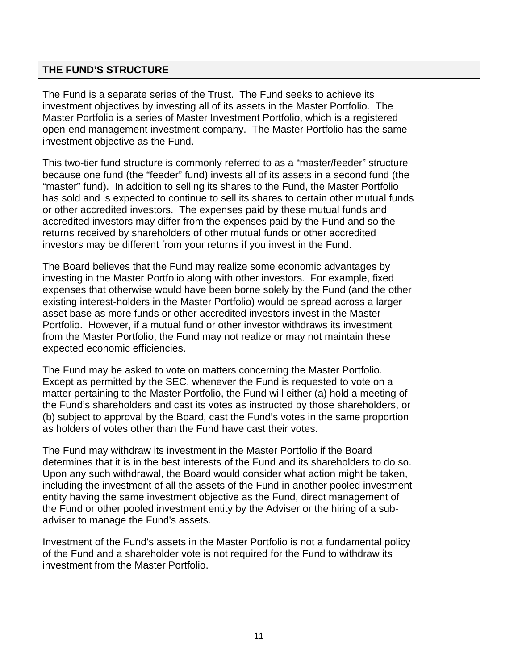### **THE FUND'S STRUCTURE**

The Fund is a separate series of the Trust. The Fund seeks to achieve its investment objectives by investing all of its assets in the Master Portfolio. The Master Portfolio is a series of Master Investment Portfolio, which is a registered open-end management investment company. The Master Portfolio has the same investment objective as the Fund.

This two-tier fund structure is commonly referred to as a "master/feeder" structure because one fund (the "feeder" fund) invests all of its assets in a second fund (the "master" fund). In addition to selling its shares to the Fund, the Master Portfolio has sold and is expected to continue to sell its shares to certain other mutual funds or other accredited investors. The expenses paid by these mutual funds and accredited investors may differ from the expenses paid by the Fund and so the returns received by shareholders of other mutual funds or other accredited investors may be different from your returns if you invest in the Fund.

The Board believes that the Fund may realize some economic advantages by investing in the Master Portfolio along with other investors. For example, fixed expenses that otherwise would have been borne solely by the Fund (and the other existing interest-holders in the Master Portfolio) would be spread across a larger asset base as more funds or other accredited investors invest in the Master Portfolio. However, if a mutual fund or other investor withdraws its investment from the Master Portfolio, the Fund may not realize or may not maintain these expected economic efficiencies.

The Fund may be asked to vote on matters concerning the Master Portfolio. Except as permitted by the SEC, whenever the Fund is requested to vote on a matter pertaining to the Master Portfolio, the Fund will either (a) hold a meeting of the Fund's shareholders and cast its votes as instructed by those shareholders, or (b) subject to approval by the Board, cast the Fund's votes in the same proportion as holders of votes other than the Fund have cast their votes.

The Fund may withdraw its investment in the Master Portfolio if the Board determines that it is in the best interests of the Fund and its shareholders to do so. Upon any such withdrawal, the Board would consider what action might be taken, including the investment of all the assets of the Fund in another pooled investment entity having the same investment objective as the Fund, direct management of the Fund or other pooled investment entity by the Adviser or the hiring of a subadviser to manage the Fund's assets.

Investment of the Fund's assets in the Master Portfolio is not a fundamental policy of the Fund and a shareholder vote is not required for the Fund to withdraw its investment from the Master Portfolio.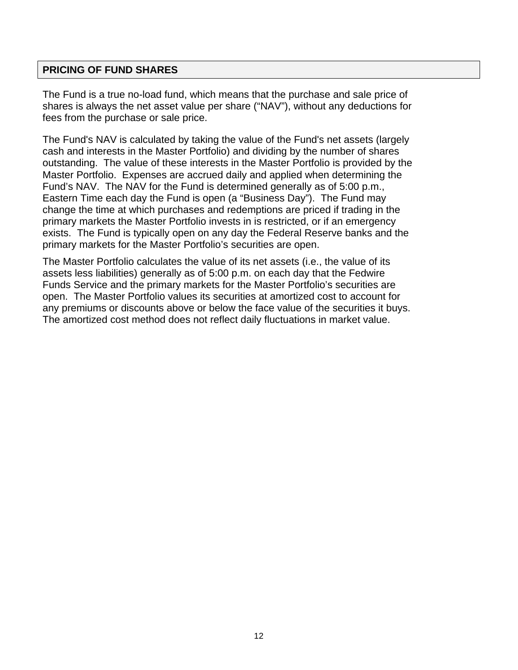#### **PRICING OF FUND SHARES**

The Fund is a true no-load fund, which means that the purchase and sale price of shares is always the net asset value per share ("NAV"), without any deductions for fees from the purchase or sale price.

The Fund's NAV is calculated by taking the value of the Fund's net assets (largely cash and interests in the Master Portfolio) and dividing by the number of shares outstanding. The value of these interests in the Master Portfolio is provided by the Master Portfolio. Expenses are accrued daily and applied when determining the Fund's NAV. The NAV for the Fund is determined generally as of 5:00 p.m., Eastern Time each day the Fund is open (a "Business Day"). The Fund may change the time at which purchases and redemptions are priced if trading in the primary markets the Master Portfolio invests in is restricted, or if an emergency exists. The Fund is typically open on any day the Federal Reserve banks and the primary markets for the Master Portfolio's securities are open.

The Master Portfolio calculates the value of its net assets (i.e., the value of its assets less liabilities) generally as of 5:00 p.m. on each day that the Fedwire Funds Service and the primary markets for the Master Portfolio's securities are open. The Master Portfolio values its securities at amortized cost to account for any premiums or discounts above or below the face value of the securities it buys. The amortized cost method does not reflect daily fluctuations in market value.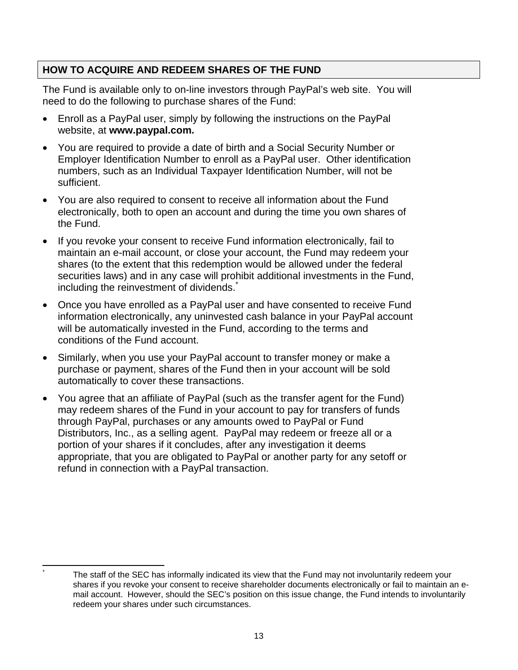## **HOW TO ACQUIRE AND REDEEM SHARES OF THE FUND**

The Fund is available only to on-line investors through PayPal's web site. You will need to do the following to purchase shares of the Fund:

- Enroll as a PayPal user, simply by following the instructions on the PayPal website, at **www.paypal.com.**
- You are required to provide a date of birth and a Social Security Number or Employer Identification Number to enroll as a PayPal user. Other identification numbers, such as an Individual Taxpayer Identification Number, will not be sufficient.
- You are also required to consent to receive all information about the Fund electronically, both to open an account and during the time you own shares of the Fund.
- If you revoke your consent to receive Fund information electronically, fail to maintain an e-mail account, or close your account, the Fund may redeem your shares (to the extent that this redemption would be allowed under the federal securities laws) and in any case will prohibit additional investments in the Fund, including the reinvestment of dividends.
- Once you have enrolled as a PayPal user and have consented to receive Fund information electronically, any uninvested cash balance in your PayPal account will be automatically invested in the Fund, according to the terms and conditions of the Fund account.
- Similarly, when you use your PayPal account to transfer money or make a purchase or payment, shares of the Fund then in your account will be sold automatically to cover these transactions.
- You agree that an affiliate of PayPal (such as the transfer agent for the Fund) may redeem shares of the Fund in your account to pay for transfers of funds through PayPal, purchases or any amounts owed to PayPal or Fund Distributors, Inc., as a selling agent. PayPal may redeem or freeze all or a portion of your shares if it concludes, after any investigation it deems appropriate, that you are obligated to PayPal or another party for any setoff or refund in connection with a PayPal transaction.

l \*

 The staff of the SEC has informally indicated its view that the Fund may not involuntarily redeem your shares if you revoke your consent to receive shareholder documents electronically or fail to maintain an email account. However, should the SEC's position on this issue change, the Fund intends to involuntarily redeem your shares under such circumstances.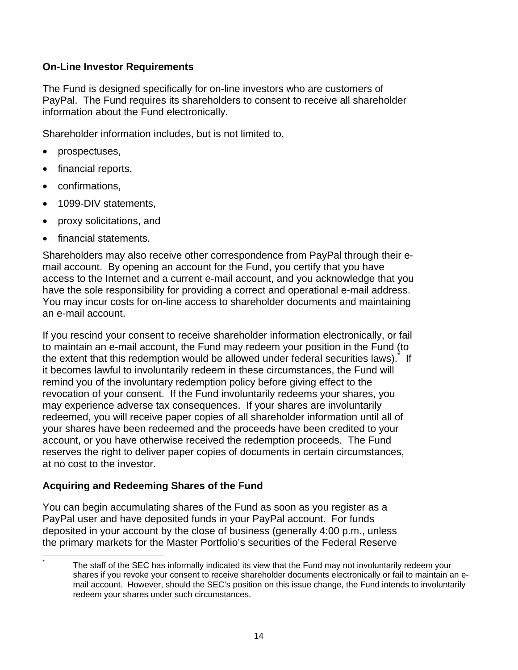### **On-Line Investor Requirements**

The Fund is designed specifically for on-line investors who are customers of PayPal. The Fund requires its shareholders to consent to receive all shareholder information about the Fund electronically.

Shareholder information includes, but is not limited to,

- prospectuses,
- financial reports,
- confirmations,

l \*

- 1099-DIV statements,
- proxy solicitations, and
- financial statements.

Shareholders may also receive other correspondence from PayPal through their email account. By opening an account for the Fund, you certify that you have access to the Internet and a current e-mail account, and you acknowledge that you have the sole responsibility for providing a correct and operational e-mail address. You may incur costs for on-line access to shareholder documents and maintaining an e-mail account.

If you rescind your consent to receive shareholder information electronically, or fail to maintain an e-mail account, the Fund may redeem your position in the Fund (to the extent that this redemption would be allowed under federal securities laws). If it becomes lawful to involuntarily redeem in these circumstances, the Fund will remind you of the involuntary redemption policy before giving effect to the revocation of your consent. If the Fund involuntarily redeems your shares, you may experience adverse tax consequences. If your shares are involuntarily redeemed, you will receive paper copies of all shareholder information until all of your shares have been redeemed and the proceeds have been credited to your account, or you have otherwise received the redemption proceeds. The Fund reserves the right to deliver paper copies of documents in certain circumstances, at no cost to the investor.

### **Acquiring and Redeeming Shares of the Fund**

You can begin accumulating shares of the Fund as soon as you register as a PayPal user and have deposited funds in your PayPal account. For funds deposited in your account by the close of business (generally 4:00 p.m., unless the primary markets for the Master Portfolio's securities of the Federal Reserve

The staff of the SEC has informally indicated its view that the Fund may not involuntarily redeem your shares if you revoke your consent to receive shareholder documents electronically or fail to maintain an email account. However, should the SEC's position on this issue change, the Fund intends to involuntarily redeem your shares under such circumstances.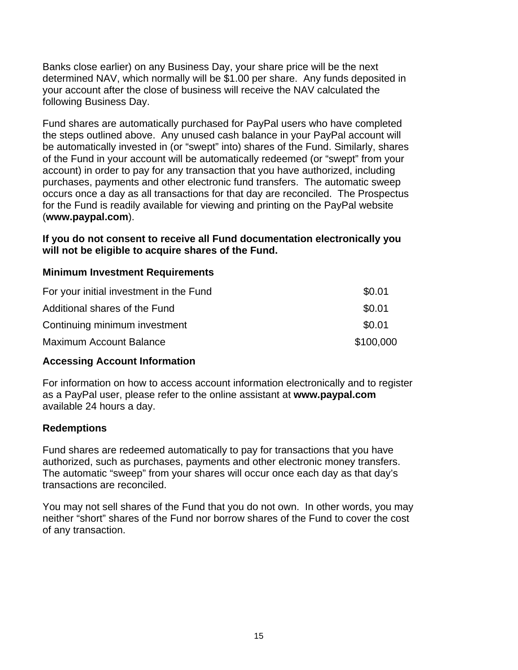Banks close earlier) on any Business Day, your share price will be the next determined NAV, which normally will be \$1.00 per share. Any funds deposited in your account after the close of business will receive the NAV calculated the following Business Day.

Fund shares are automatically purchased for PayPal users who have completed the steps outlined above. Any unused cash balance in your PayPal account will be automatically invested in (or "swept" into) shares of the Fund. Similarly, shares of the Fund in your account will be automatically redeemed (or "swept" from your account) in order to pay for any transaction that you have authorized, including purchases, payments and other electronic fund transfers. The automatic sweep occurs once a day as all transactions for that day are reconciled. The Prospectus for the Fund is readily available for viewing and printing on the PayPal website (**www.paypal.com**).

**If you do not consent to receive all Fund documentation electronically you will not be eligible to acquire shares of the Fund.**

#### **Minimum Investment Requirements**

| For your initial investment in the Fund | \$0.01    |
|-----------------------------------------|-----------|
| Additional shares of the Fund           | \$0.01    |
| Continuing minimum investment           | \$0.01    |
| <b>Maximum Account Balance</b>          | \$100,000 |

### **Accessing Account Information**

For information on how to access account information electronically and to register as a PayPal user, please refer to the online assistant at **www.paypal.com**  available 24 hours a day.

### **Redemptions**

Fund shares are redeemed automatically to pay for transactions that you have authorized, such as purchases, payments and other electronic money transfers. The automatic "sweep" from your shares will occur once each day as that day's transactions are reconciled.

You may not sell shares of the Fund that you do not own. In other words, you may neither "short" shares of the Fund nor borrow shares of the Fund to cover the cost of any transaction.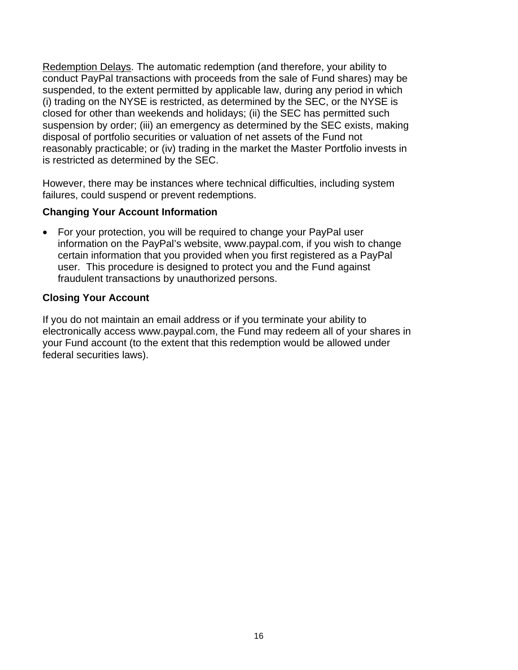Redemption Delays. The automatic redemption (and therefore, your ability to conduct PayPal transactions with proceeds from the sale of Fund shares) may be suspended, to the extent permitted by applicable law, during any period in which (i) trading on the NYSE is restricted, as determined by the SEC, or the NYSE is closed for other than weekends and holidays; (ii) the SEC has permitted such suspension by order; (iii) an emergency as determined by the SEC exists, making disposal of portfolio securities or valuation of net assets of the Fund not reasonably practicable; or (iv) trading in the market the Master Portfolio invests in is restricted as determined by the SEC.

However, there may be instances where technical difficulties, including system failures, could suspend or prevent redemptions.

#### **Changing Your Account Information**

• For your protection, you will be required to change your PayPal user information on the PayPal's website, www.paypal.com, if you wish to change certain information that you provided when you first registered as a PayPal user. This procedure is designed to protect you and the Fund against fraudulent transactions by unauthorized persons.

#### **Closing Your Account**

If you do not maintain an email address or if you terminate your ability to electronically access www.paypal.com, the Fund may redeem all of your shares in your Fund account (to the extent that this redemption would be allowed under federal securities laws).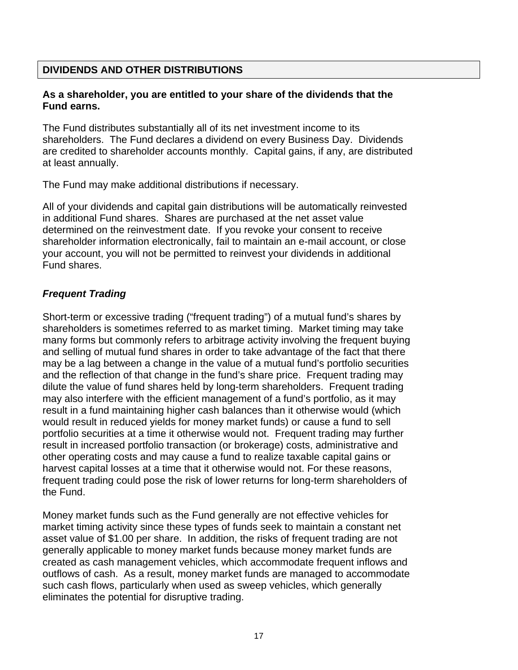## **DIVIDENDS AND OTHER DISTRIBUTIONS**

#### **As a shareholder, you are entitled to your share of the dividends that the Fund earns.**

The Fund distributes substantially all of its net investment income to its shareholders. The Fund declares a dividend on every Business Day. Dividends are credited to shareholder accounts monthly. Capital gains, if any, are distributed at least annually.

The Fund may make additional distributions if necessary.

All of your dividends and capital gain distributions will be automatically reinvested in additional Fund shares. Shares are purchased at the net asset value determined on the reinvestment date. If you revoke your consent to receive shareholder information electronically, fail to maintain an e-mail account, or close your account, you will not be permitted to reinvest your dividends in additional Fund shares.

### *Frequent Trading*

Short-term or excessive trading ("frequent trading") of a mutual fund's shares by shareholders is sometimes referred to as market timing. Market timing may take many forms but commonly refers to arbitrage activity involving the frequent buying and selling of mutual fund shares in order to take advantage of the fact that there may be a lag between a change in the value of a mutual fund's portfolio securities and the reflection of that change in the fund's share price. Frequent trading may dilute the value of fund shares held by long-term shareholders. Frequent trading may also interfere with the efficient management of a fund's portfolio, as it may result in a fund maintaining higher cash balances than it otherwise would (which would result in reduced yields for money market funds) or cause a fund to sell portfolio securities at a time it otherwise would not. Frequent trading may further result in increased portfolio transaction (or brokerage) costs, administrative and other operating costs and may cause a fund to realize taxable capital gains or harvest capital losses at a time that it otherwise would not. For these reasons, frequent trading could pose the risk of lower returns for long-term shareholders of the Fund.

Money market funds such as the Fund generally are not effective vehicles for market timing activity since these types of funds seek to maintain a constant net asset value of \$1.00 per share. In addition, the risks of frequent trading are not generally applicable to money market funds because money market funds are created as cash management vehicles, which accommodate frequent inflows and outflows of cash. As a result, money market funds are managed to accommodate such cash flows, particularly when used as sweep vehicles, which generally eliminates the potential for disruptive trading.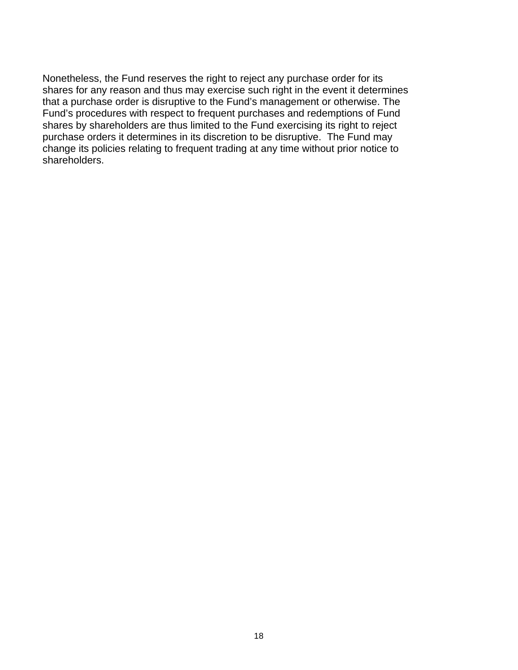Nonetheless, the Fund reserves the right to reject any purchase order for its shares for any reason and thus may exercise such right in the event it determines that a purchase order is disruptive to the Fund's management or otherwise. The Fund's procedures with respect to frequent purchases and redemptions of Fund shares by shareholders are thus limited to the Fund exercising its right to reject purchase orders it determines in its discretion to be disruptive. The Fund may change its policies relating to frequent trading at any time without prior notice to shareholders.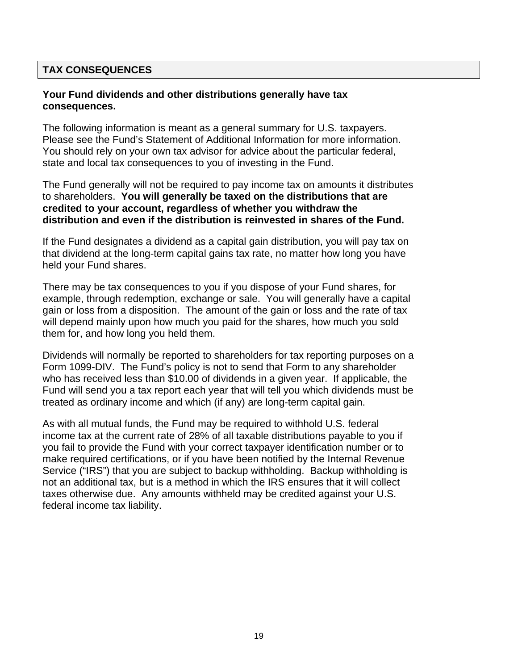#### **TAX CONSEQUENCES**

#### **Your Fund dividends and other distributions generally have tax consequences.**

The following information is meant as a general summary for U.S. taxpayers. Please see the Fund's Statement of Additional Information for more information. You should rely on your own tax advisor for advice about the particular federal, state and local tax consequences to you of investing in the Fund.

The Fund generally will not be required to pay income tax on amounts it distributes to shareholders. **You will generally be taxed on the distributions that are credited to your account, regardless of whether you withdraw the distribution and even if the distribution is reinvested in shares of the Fund.**

If the Fund designates a dividend as a capital gain distribution, you will pay tax on that dividend at the long-term capital gains tax rate, no matter how long you have held your Fund shares.

There may be tax consequences to you if you dispose of your Fund shares, for example, through redemption, exchange or sale. You will generally have a capital gain or loss from a disposition. The amount of the gain or loss and the rate of tax will depend mainly upon how much you paid for the shares, how much you sold them for, and how long you held them.

Dividends will normally be reported to shareholders for tax reporting purposes on a Form 1099-DIV. The Fund's policy is not to send that Form to any shareholder who has received less than \$10.00 of dividends in a given year. If applicable, the Fund will send you a tax report each year that will tell you which dividends must be treated as ordinary income and which (if any) are long-term capital gain.

As with all mutual funds, the Fund may be required to withhold U.S. federal income tax at the current rate of 28% of all taxable distributions payable to you if you fail to provide the Fund with your correct taxpayer identification number or to make required certifications, or if you have been notified by the Internal Revenue Service ("IRS") that you are subject to backup withholding. Backup withholding is not an additional tax, but is a method in which the IRS ensures that it will collect taxes otherwise due. Any amounts withheld may be credited against your U.S. federal income tax liability.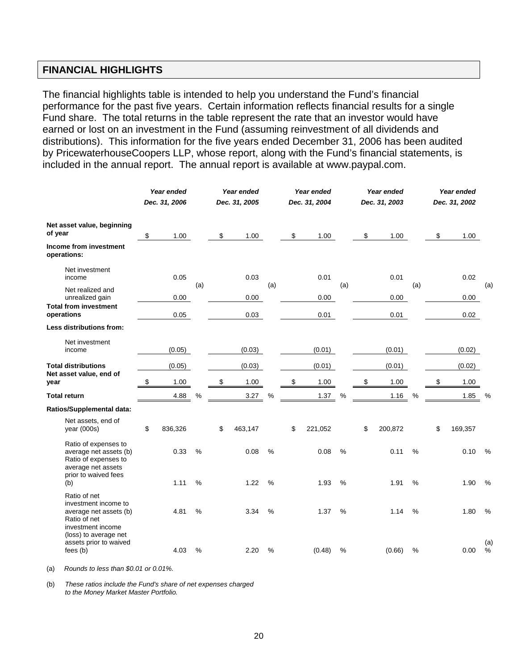#### **FINANCIAL HIGHLIGHTS**

The financial highlights table is intended to help you understand the Fund's financial performance for the past five years. Certain information reflects financial results for a single Fund share. The total returns in the table represent the rate that an investor would have earned or lost on an investment in the Fund (assuming reinvestment of all dividends and distributions). This information for the five years ended December 31, 2006 has been audited by PricewaterhouseCoopers LLP, whose report, along with the Fund's financial statements, is included in the annual report. The annual report is available at www.paypal.com.

|                                                                                                                              | Year ended<br>Dec. 31, 2006 |               | Year ended<br>Dec. 31, 2005 |               | Year ended<br>Dec. 31, 2004 |               | Year ended<br>Dec. 31, 2003 |               | Year ended<br>Dec. 31, 2002 |               |
|------------------------------------------------------------------------------------------------------------------------------|-----------------------------|---------------|-----------------------------|---------------|-----------------------------|---------------|-----------------------------|---------------|-----------------------------|---------------|
| Net asset value, beginning<br>of year                                                                                        | \$<br>1.00                  |               | \$<br>1.00                  |               | \$<br>1.00                  |               | \$<br>1.00                  |               | \$<br>1.00                  |               |
| Income from investment<br>operations:                                                                                        |                             |               |                             |               |                             |               |                             |               |                             |               |
| Net investment<br>income                                                                                                     | 0.05                        | (a)           | 0.03                        | (a)           | 0.01                        | (a)           | 0.01                        | (a)           | 0.02                        | (a)           |
| Net realized and<br>unrealized gain                                                                                          | 0.00                        |               | 0.00                        |               | 0.00                        |               | 0.00                        |               | 0.00                        |               |
| <b>Total from investment</b><br>operations                                                                                   | 0.05                        |               | 0.03                        |               | 0.01                        |               | 0.01                        |               | 0.02                        |               |
| Less distributions from:                                                                                                     |                             |               |                             |               |                             |               |                             |               |                             |               |
| Net investment<br>income                                                                                                     | (0.05)                      |               | (0.03)                      |               | (0.01)                      |               | (0.01)                      |               | (0.02)                      |               |
| <b>Total distributions</b>                                                                                                   | (0.05)                      |               | (0.03)                      |               | (0.01)                      |               | (0.01)                      |               | (0.02)                      |               |
| Net asset value, end of<br>year                                                                                              | \$<br>1.00                  |               | \$<br>1.00                  |               | \$<br>1.00                  |               | \$<br>1.00                  |               | \$<br>1.00                  |               |
| <b>Total return</b>                                                                                                          | 4.88                        | %             | 3.27                        | %             | 1.37                        | %             | 1.16                        | $\%$          | 1.85                        | %             |
| Ratios/Supplemental data:                                                                                                    |                             |               |                             |               |                             |               |                             |               |                             |               |
| Net assets, end of<br>year (000s)                                                                                            | \$<br>836,326               |               | \$<br>463,147               |               | \$<br>221,052               |               | \$<br>200,872               |               | \$<br>169,357               |               |
| Ratio of expenses to<br>average net assets (b)<br>Ratio of expenses to<br>average net assets<br>prior to waived fees         | 0.33                        | $\frac{0}{0}$ | 0.08                        | $\frac{0}{0}$ | 0.08                        | $\frac{0}{0}$ | 0.11                        | $\frac{0}{0}$ | 0.10                        | $\%$          |
| (b)                                                                                                                          | 1.11                        | $\%$          | 1.22                        | $\frac{0}{0}$ | 1.93                        | %             | 1.91                        | $\frac{0}{0}$ | 1.90                        | %             |
| Ratio of net<br>investment income to<br>average net assets (b)<br>Ratio of net<br>investment income<br>(loss) to average net | 4.81                        | $\%$          | 3.34                        | $\%$          | 1.37                        | $\%$          | 1.14                        | $\%$          | 1.80                        | $\frac{0}{0}$ |
| assets prior to waived<br>fees(b)                                                                                            | 4.03                        | %             | 2.20                        | %             | (0.48)                      | %             | (0.66)                      | %             | 0.00                        | (a)<br>%      |

(a) *Rounds to less than \$0.01 or 0.01%.* 

(b) *These ratios include the Fund's share of net expenses charged to the Money Market Master Portfolio.*